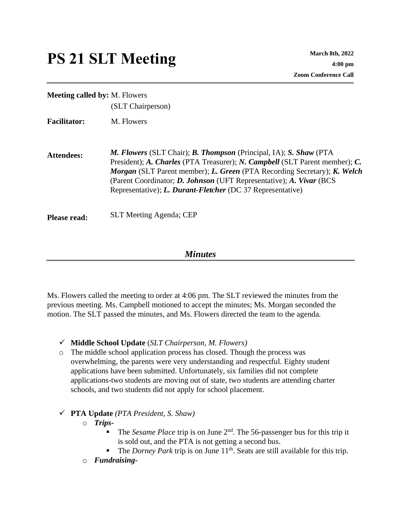## **PS 21 SLT Meeting March 8th, 2022**

| <b>Meeting called by: M. Flowers</b> | (SLT Chairperson)                                                                                                                                                                                                                                                                                                                                                                               |
|--------------------------------------|-------------------------------------------------------------------------------------------------------------------------------------------------------------------------------------------------------------------------------------------------------------------------------------------------------------------------------------------------------------------------------------------------|
| <b>Facilitator:</b>                  | M. Flowers                                                                                                                                                                                                                                                                                                                                                                                      |
| <b>Attendees:</b>                    | <b>M. Flowers (SLT Chair); B. Thompson (Principal, IA); S. Shaw (PTA)</b><br>President); A. Charles (PTA Treasurer); N. Campbell (SLT Parent member); C.<br>Morgan (SLT Parent member); L. Green (PTA Recording Secretary); K. Welch<br>(Parent Coordinator; <i>D. Johnson</i> (UFT Representative); <i>A. Vivar</i> (BCS)<br>Representative); <i>L. Durant-Fletcher</i> (DC 37 Representative) |
| <b>Please read:</b>                  | <b>SLT Meeting Agenda; CEP</b>                                                                                                                                                                                                                                                                                                                                                                  |

## *Minutes*

Ms. Flowers called the meeting to order at 4:06 pm. The SLT reviewed the minutes from the previous meeting. Ms. Campbell motioned to accept the minutes; Ms. Morgan seconded the motion. The SLT passed the minutes, and Ms. Flowers directed the team to the agenda.

- ✓ **Middle School Update** (*SLT Chairperson, M. Flowers)*
- o The middle school application process has closed. Though the process was overwhelming, the parents were very understanding and respectful. Eighty student applications have been submitted. Unfortunately, six families did not complete applications-two students are moving out of state, two students are attending charter schools, and two students did not apply for school placement.

## ✓ **PTA Update** *(PTA President, S. Shaw)*

- o *Trips-*
	- The *Sesame Place* trip is on June 2<sup>nd</sup>. The 56-passenger bus for this trip it is sold out, and the PTA is not getting a second bus.
	- The *Dorney Park* trip is on June 11<sup>th</sup>. Seats are still available for this trip.
- o *Fundraising-*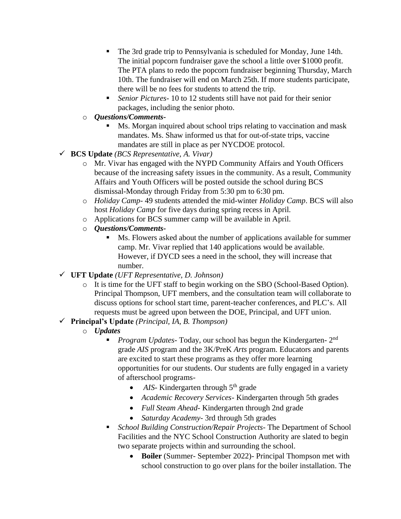- The 3rd grade trip to Pennsylvania is scheduled for Monday, June 14th. The initial popcorn fundraiser gave the school a little over \$1000 profit. The PTA plans to redo the popcorn fundraiser beginning Thursday, March 10th. The fundraiser will end on March 25th. If more students participate, there will be no fees for students to attend the trip.
- Senior Pictures-10 to 12 students still have not paid for their senior packages, including the senior photo.
- o *Questions/Comments-*
	- Ms. Morgan inquired about school trips relating to vaccination and mask mandates. Ms. Shaw informed us that for out-of-state trips, vaccine mandates are still in place as per NYCDOE protocol.
- ✓ **BCS Update** *(BCS Representative, A. Vivar)*
	- o Mr. Vivar has engaged with the NYPD Community Affairs and Youth Officers because of the increasing safety issues in the community. As a result, Community Affairs and Youth Officers will be posted outside the school during BCS dismissal-Monday through Friday from 5:30 pm to 6:30 pm.
	- o *Holiday Camp-* 49 students attended the mid-winter *Holiday Camp*. BCS will also host *Holiday Camp* for five days during spring recess in April.
	- o Applications for BCS summer camp will be available in April.
	- o *Questions/Comments-*
		- Ms. Flowers asked about the number of applications available for summer camp. Mr. Vivar replied that 140 applications would be available. However, if DYCD sees a need in the school, they will increase that number.
- ✓ **UFT Update** *(UFT Representative, D. Johnson)*
	- o It is time for the UFT staff to begin working on the SBO (School-Based Option). Principal Thompson, UFT members, and the consultation team will collaborate to discuss options for school start time, parent-teacher conferences, and PLC's. All requests must be agreed upon between the DOE, Principal, and UFT union.
- ✓ **Principal's Update** *(Principal, IA, B. Thompson)*
	- o *Updates*
		- **•** *Program Updates*-Today, our school has begun the Kindergarten- 2<sup>nd</sup> grade *AIS* program and the 3K/PreK *Arts* program. Educators and parents are excited to start these programs as they offer more learning opportunities for our students. Our students are fully engaged in a variety of afterschool programs-
			- *AIS* Kindergarten through 5<sup>th</sup> grade
			- *Academic Recovery Services* Kindergarten through 5th grades
			- *Full Steam Ahead* Kindergarten through 2nd grade
			- *Saturday Academy* 3rd through 5th grades
		- *School Building Construction/Repair Projects-* The Department of School Facilities and the NYC School Construction Authority are slated to begin two separate projects within and surrounding the school.
			- **Boiler** (Summer- September 2022)- Principal Thompson met with school construction to go over plans for the boiler installation. The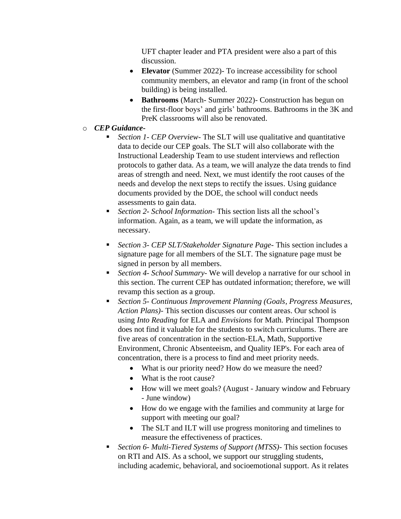UFT chapter leader and PTA president were also a part of this discussion.

- **Elevator** (Summer 2022)- To increase accessibility for school community members, an elevator and ramp (in front of the school building) is being installed.
- **Bathrooms** (March- Summer 2022)- Construction has begun on the first-floor boys' and girls' bathrooms. Bathrooms in the 3K and PreK classrooms will also be renovated.
- o *CEP Guidance-*
	- Section 1- CEP Overview- The SLT will use qualitative and quantitative data to decide our CEP goals. The SLT will also collaborate with the Instructional Leadership Team to use student interviews and reflection protocols to gather data. As a team, we will analyze the data trends to find areas of strength and need. Next, we must identify the root causes of the needs and develop the next steps to rectify the issues. Using guidance documents provided by the DOE, the school will conduct needs assessments to gain data.
	- *Section 2- School Information-* This section lists all the school's information. Again, as a team, we will update the information, as necessary.
	- *Section 3- CEP SLT/Stakeholder Signature Page* This section includes a signature page for all members of the SLT. The signature page must be signed in person by all members.
	- *Section 4- School Summary-* We will develop a narrative for our school in this section. The current CEP has outdated information; therefore, we will revamp this section as a group.
	- *Section 5 Continuous Improvement Planning (Goals, Progress Measures, Action Plans)*- This section discusses our content areas. Our school is using *Into Reading* for ELA and *Envisions* for Math. Principal Thompson does not find it valuable for the students to switch curriculums. There are five areas of concentration in the section-ELA, Math, Supportive Environment, Chronic Absenteeism, and Quality IEP's. For each area of concentration, there is a process to find and meet priority needs.
		- What is our priority need? How do we measure the need?
		- What is the root cause?
		- How will we meet goals? (August January window and February - June window)
		- How do we engage with the families and community at large for support with meeting our goal?
		- The SLT and ILT will use progress monitoring and timelines to measure the effectiveness of practices.
	- *Section 6- Multi-Tiered Systems of Support (MTSS)-* This section focuses on RTI and AIS. As a school, we support our struggling students, including academic, behavioral, and socioemotional support. As it relates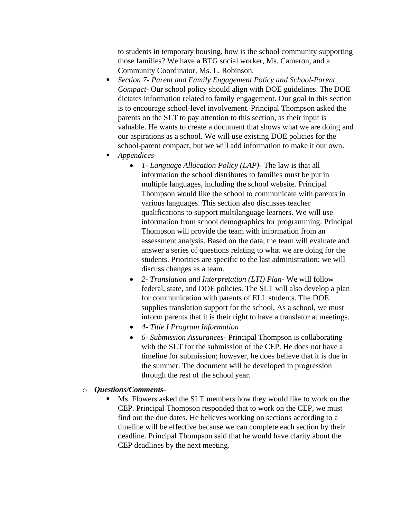to students in temporary housing, how is the school community supporting those families? We have a BTG social worker, Ms. Cameron, and a Community Coordinator, Ms. L. Robinson.

- *Section 7- Parent and Family Engagement Policy and School-Parent Compact-* Our school policy should align with DOE guidelines. The DOE dictates information related to family engagement. Our goal in this section is to encourage school-level involvement. Principal Thompson asked the parents on the SLT to pay attention to this section, as their input is valuable. He wants to create a document that shows what we are doing and our aspirations as a school. We will use existing DOE policies for the school-parent compact, but we will add information to make it our own.
- *Appendices-*
	- *1- Language Allocation Policy (LAP)-* The law is that all information the school distributes to families must be put in multiple languages, including the school website. Principal Thompson would like the school to communicate with parents in various languages. This section also discusses teacher qualifications to support multilanguage learners. We will use information from school demographics for programming. Principal Thompson will provide the team with information from an assessment analysis. Based on the data, the team will evaluate and answer a series of questions relating to what we are doing for the students. Priorities are specific to the last administration; we will discuss changes as a team.
	- *2- Translation and Interpretation (LTI) Plan-* We will follow federal, state, and DOE policies. The SLT will also develop a plan for communication with parents of ELL students. The DOE supplies translation support for the school. As a school, we must inform parents that it is their right to have a translator at meetings.
	- *4- Title I Program Information*
	- *6- Submission Assurances-* Principal Thompson is collaborating with the SLT for the submission of the CEP. He does not have a timeline for submission; however, he does believe that it is due in the summer. The document will be developed in progression through the rest of the school year.
- o *Questions/Comments-*
	- Ms. Flowers asked the SLT members how they would like to work on the CEP. Principal Thompson responded that to work on the CEP, we must find out the due dates. He believes working on sections according to a timeline will be effective because we can complete each section by their deadline. Principal Thompson said that he would have clarity about the CEP deadlines by the next meeting.